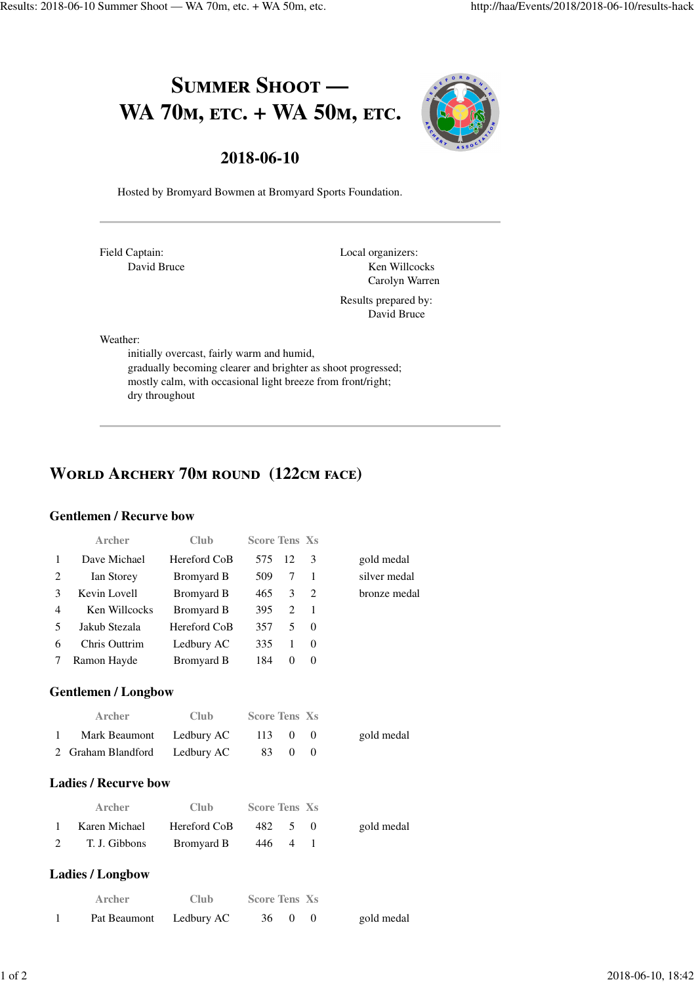# SUMMER SHOOT -WA 70<sub>M</sub>, ETC. + WA 50<sub>M</sub>, ETC.



### **2018-06-10**

Hosted by Bromyard Bowmen at Bromyard Sports Foundation.

Field Captain: David Bruce Local organizers: Ken Willcocks Carolyn Warren

Results prepared by: David Bruce

Weather:

initially overcast, fairly warm and humid, gradually becoming clearer and brighter as shoot progressed; mostly calm, with occasional light breeze from front/right; dry throughout

# **WORLD ARCHERY 70M ROUND (122CM FACE)**

#### **Gentlemen / Recurve bow**

|                | <b>Archer</b>               | <b>Club</b>       | <b>Score Tens Xs</b> |                |               |              |
|----------------|-----------------------------|-------------------|----------------------|----------------|---------------|--------------|
| 1              | Dave Michael                | Hereford CoB      | 575                  | 12             | $\mathcal{E}$ | gold medal   |
| $\overline{2}$ | Ian Storey                  | <b>Bromyard B</b> | 509                  | 7              | 1             | silver medal |
| 3              | Kevin Lovell                | Bromyard B        | 465                  | 3              | 2             | bronze medal |
| $\overline{4}$ | Ken Willcocks               | Bromyard B        | 395                  | 2              | $\mathbf{1}$  |              |
| 5              | Jakub Stezala               | Hereford CoB      | 357                  | 5              | $\Omega$      |              |
| 6              | Chris Outtrim               | Ledbury AC        | 335                  | 1              | $\Omega$      |              |
| 7              | Ramon Hayde                 | Bromyard B        | 184                  | $\Omega$       | $\Omega$      |              |
|                | <b>Gentlemen / Longbow</b>  |                   |                      |                |               |              |
|                | Archer                      | Club              | <b>Score Tens Xs</b> |                |               |              |
| 1              | <b>Mark Beaumont</b>        | Ledbury AC        | 113                  | $\Omega$       | $\Omega$      | gold medal   |
| $\mathfrak{D}$ | Graham Blandford            | Ledbury AC        | 83                   | $\theta$       | $\Omega$      |              |
|                | <b>Ladies / Recurve bow</b> |                   |                      |                |               |              |
|                | Archer                      | Club              | <b>Score Tens Xs</b> |                |               |              |
| 1              | Karen Michael               | Hereford CoB      | 482                  | 5              | $\Omega$      | gold medal   |
| 2              | T. J. Gibbons               | <b>Bromyard B</b> | 446                  | $\overline{4}$ | $\mathbf{1}$  |              |
|                | <b>Ladies / Longbow</b>     |                   |                      |                |               |              |
|                | Archer                      | Club              | <b>Score Tens Xs</b> |                |               |              |
| 1              | Pat Beaumont                | Ledbury AC        | 36                   | $\Omega$       | $\theta$      | gold medal   |